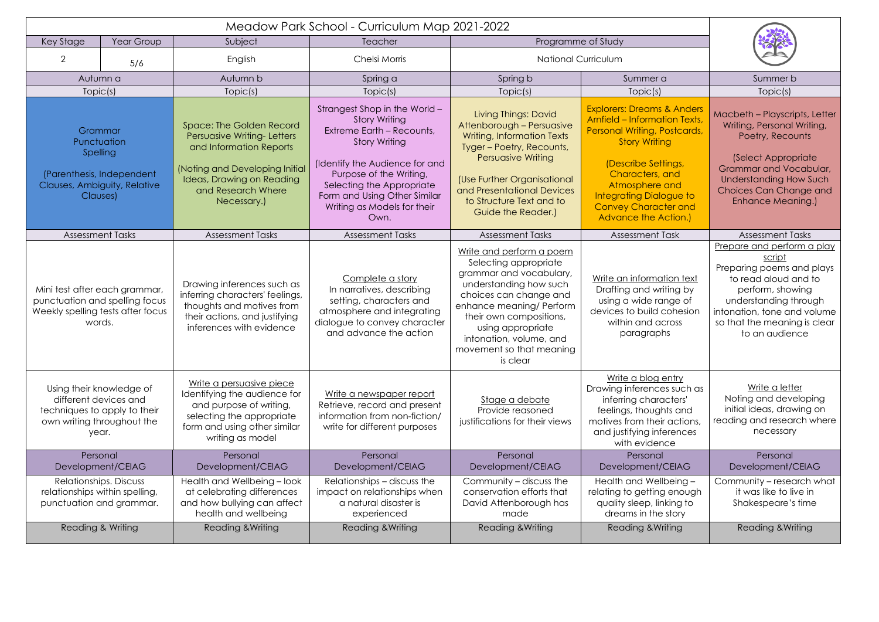| Key Stage                                                                                                                | Year Group | Subject                                                                                                                                                                                      | Teacher                                                                                                                                                                                                                                                                     | Programme of Study                                                                                                                                                                                                                                                              |                                                                                                                                                                                                                                                                                            |                                                                                                                                                                                                                          |  |
|--------------------------------------------------------------------------------------------------------------------------|------------|----------------------------------------------------------------------------------------------------------------------------------------------------------------------------------------------|-----------------------------------------------------------------------------------------------------------------------------------------------------------------------------------------------------------------------------------------------------------------------------|---------------------------------------------------------------------------------------------------------------------------------------------------------------------------------------------------------------------------------------------------------------------------------|--------------------------------------------------------------------------------------------------------------------------------------------------------------------------------------------------------------------------------------------------------------------------------------------|--------------------------------------------------------------------------------------------------------------------------------------------------------------------------------------------------------------------------|--|
| $\overline{2}$                                                                                                           | 5/6        | English                                                                                                                                                                                      | Chelsi Morris                                                                                                                                                                                                                                                               | <b>National Curriculum</b>                                                                                                                                                                                                                                                      |                                                                                                                                                                                                                                                                                            |                                                                                                                                                                                                                          |  |
| Autumn a                                                                                                                 |            | Autumn b                                                                                                                                                                                     | Spring a                                                                                                                                                                                                                                                                    | Spring b                                                                                                                                                                                                                                                                        | Summer a                                                                                                                                                                                                                                                                                   | Summer b                                                                                                                                                                                                                 |  |
| Topic(s)                                                                                                                 |            | Topic(s)                                                                                                                                                                                     | Topic(s)                                                                                                                                                                                                                                                                    | Topic(s)                                                                                                                                                                                                                                                                        | Topic(s)                                                                                                                                                                                                                                                                                   | Topic(s)                                                                                                                                                                                                                 |  |
| Grammar<br>Punctuation<br>Spelling<br>(Parenthesis, Independent<br>Clauses, Ambiguity, Relative<br>Clauses)              |            | <b>Space: The Golden Record</b><br>Persuasive Writing-Letters<br>and Information Reports<br>(Noting and Developing Initial<br>Ideas, Drawing on Reading<br>and Research Where<br>Necessary.) | Strangest Shop in the World -<br><b>Story Writing</b><br>Extreme Earth - Recounts,<br><b>Story Writing</b><br>(Identify the Audience for and<br>Purpose of the Writing,<br>Selecting the Appropriate<br>Form and Using Other Similar<br>Writing as Models for their<br>Own. | <b>Living Things: David</b><br>Attenborough - Persuasive<br><b>Writing, Information Texts</b><br>Tyger - Poetry, Recounts,<br>Persuasive Writing<br>(Use Further Organisational<br>and Presentational Devices<br>to Structure Text and to<br>Guide the Reader.)                 | <b>Explorers: Dreams &amp; Anders</b><br><b>Arnfield - Information Texts,</b><br>Personal Writing, Postcards,<br><b>Story Writing</b><br>(Describe Settings,<br>Characters, and<br>Atmosphere and<br><b>Integrating Dialogue to</b><br><b>Convey Character and</b><br>Advance the Action.) | Macbeth - Playscripts, Letter<br>Writing, Personal Writing,<br>Poetry, Recounts<br>(Select Appropriate)<br>Grammar and Vocabular,<br><b>Understanding How Such</b><br><b>Choices Can Change and</b><br>Enhance Meaning.) |  |
| <b>Assessment Tasks</b>                                                                                                  |            | <b>Assessment Tasks</b>                                                                                                                                                                      | <b>Assessment Tasks</b>                                                                                                                                                                                                                                                     | <b>Assessment Tasks</b>                                                                                                                                                                                                                                                         | <b>Assessment Task</b>                                                                                                                                                                                                                                                                     | <b>Assessment Tasks</b>                                                                                                                                                                                                  |  |
| Mini test after each grammar,<br>punctuation and spelling focus<br>Weekly spelling tests after focus<br>words.           |            | Drawing inferences such as<br>inferring characters' feelings,<br>thoughts and motives from<br>their actions, and justifying<br>inferences with evidence                                      | Complete a story<br>In narratives, describing<br>setting, characters and<br>atmosphere and integrating<br>dialogue to convey character<br>and advance the action                                                                                                            | Write and perform a poem<br>Selecting appropriate<br>grammar and vocabulary,<br>understanding how such<br>choices can change and<br>enhance meaning/ Perform<br>their own compositions,<br>using appropriate<br>intonation, volume, and<br>movement so that meaning<br>is clear | Write an information text<br>Drafting and writing by<br>using a wide range of<br>devices to build cohesion<br>within and across<br>paragraphs                                                                                                                                              | Prepare and perform a play<br>script<br>Preparing poems and plays<br>to read aloud and to<br>perform, showing<br>understanding through<br>intonation, tone and volume<br>so that the meaning is clear<br>to an audience  |  |
| Using their knowledge of<br>different devices and<br>techniques to apply to their<br>own writing throughout the<br>year. |            | Write a persuasive piece<br>Identifying the audience for<br>and purpose of writing,<br>selecting the appropriate<br>form and using other similar<br>writing as model                         | Write a newspaper report<br>Retrieve, record and present<br>information from non-fiction/<br>write for different purposes                                                                                                                                                   | Stage a debate<br>Provide reasoned<br>justifications for their views                                                                                                                                                                                                            | Write a blog entry<br>Drawing inferences such as<br>inferring characters'<br>feelings, thoughts and<br>motives from their actions,<br>and justifying inferences<br>with evidence                                                                                                           | Write a letter<br>Noting and developing<br>initial ideas, drawing on<br>reading and research where<br>necessary                                                                                                          |  |
| Personal<br>Development/CEIAG                                                                                            |            | Personal<br>Development/CEIAG                                                                                                                                                                | Personal<br>Development/CEIAG                                                                                                                                                                                                                                               | Personal<br>Development/CEIAG                                                                                                                                                                                                                                                   | Personal<br>Development/CEIAG                                                                                                                                                                                                                                                              | Personal<br>Development/CEIAG                                                                                                                                                                                            |  |
| Relationships. Discuss<br>relationships within spelling,<br>punctuation and grammar.                                     |            | Health and Wellbeing - look<br>at celebrating differences<br>and how bullying can affect<br>health and wellbeing                                                                             | Relationships – discuss the<br>impact on relationships when<br>a natural disaster is<br>experienced                                                                                                                                                                         | Community - discuss the<br>conservation efforts that<br>David Attenborough has<br>made                                                                                                                                                                                          | Health and Wellbeing -<br>relating to getting enough<br>quality sleep, linking to<br>dreams in the story                                                                                                                                                                                   | Community - research what<br>it was like to live in<br>Shakespeare's time                                                                                                                                                |  |
| Reading & Writing                                                                                                        |            | <b>Reading &amp; Writing</b>                                                                                                                                                                 | <b>Reading &amp; Writing</b>                                                                                                                                                                                                                                                | Reading & Writing                                                                                                                                                                                                                                                               | <b>Reading &amp; Writing</b>                                                                                                                                                                                                                                                               | <b>Reading &amp; Writing</b>                                                                                                                                                                                             |  |